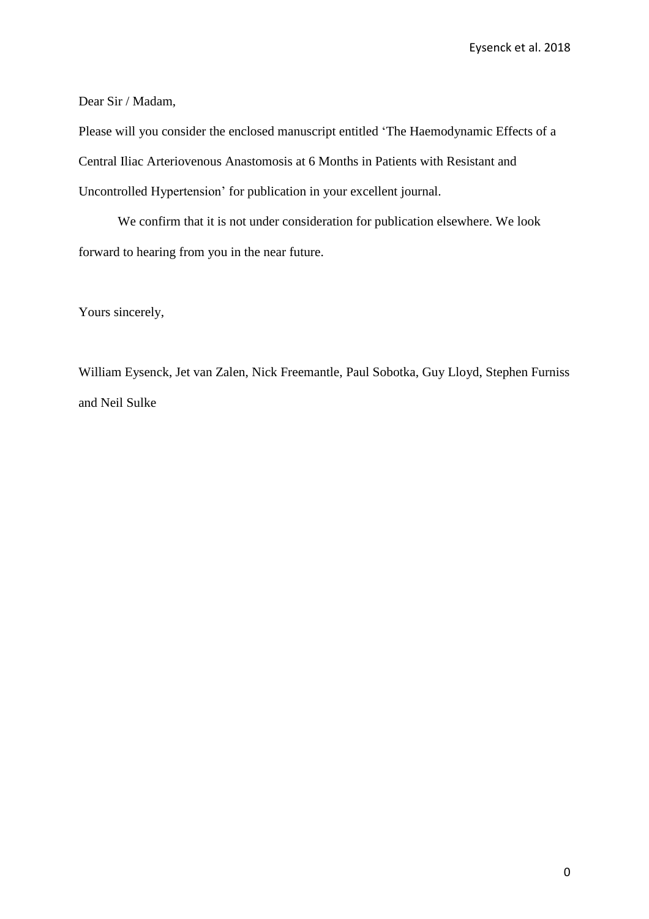Dear Sir / Madam,

Please will you consider the enclosed manuscript entitled 'The Haemodynamic Effects of a Central Iliac Arteriovenous Anastomosis at 6 Months in Patients with Resistant and Uncontrolled Hypertension' for publication in your excellent journal.

We confirm that it is not under consideration for publication elsewhere. We look forward to hearing from you in the near future.

Yours sincerely,

William Eysenck, Jet van Zalen, Nick Freemantle, Paul Sobotka, Guy Lloyd, Stephen Furniss and Neil Sulke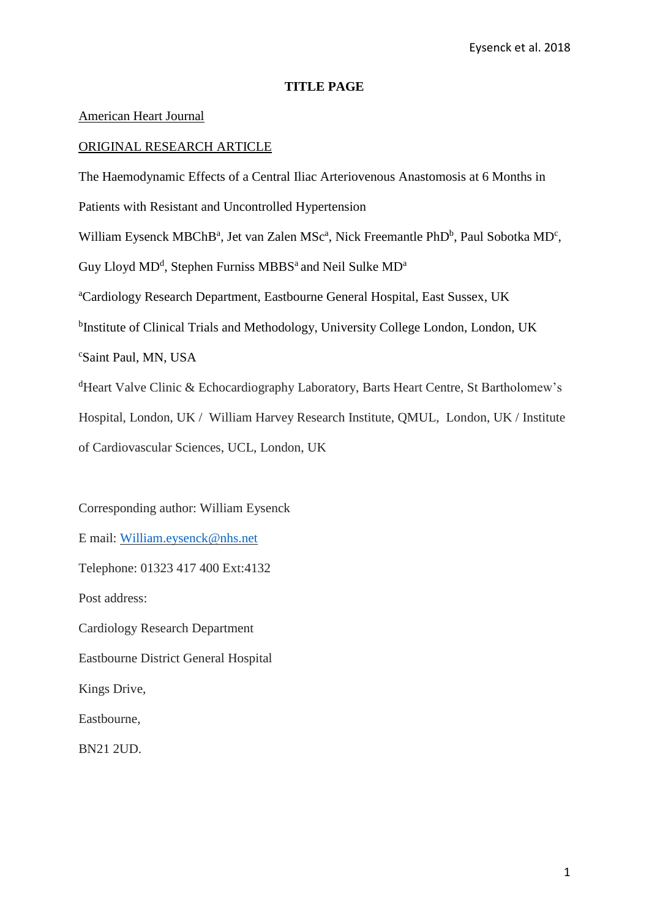# **TITLE PAGE**

# American Heart Journal

# ORIGINAL RESEARCH ARTICLE

The Haemodynamic Effects of a Central Iliac Arteriovenous Anastomosis at 6 Months in Patients with Resistant and Uncontrolled Hypertension William Eysenck MBChB<sup>a</sup>, Jet van Zalen MSc<sup>a</sup>, Nick Freemantle PhD<sup>b</sup>, Paul Sobotka MD<sup>c</sup>, Guy Lloyd MD<sup>d</sup>, Stephen Furniss MBBS<sup>a</sup> and Neil Sulke MD<sup>a</sup> <sup>a</sup>Cardiology Research Department, Eastbourne General Hospital, East Sussex, UK <sup>b</sup>Institute of Clinical Trials and Methodology, University College London, London, UK <sup>c</sup>Saint Paul, MN, USA <sup>d</sup>Heart Valve Clinic & Echocardiography Laboratory, Barts Heart Centre, St Bartholomew's Hospital, London, UK / William Harvey Research Institute, QMUL, London, UK / Institute of Cardiovascular Sciences, UCL, London, UK

Corresponding author: William Eysenck E mail: [William.eysenck@nhs.net](mailto:William.eysenck@nhs.net) Telephone: 01323 417 400 Ext:4132 Post address: Cardiology Research Department Eastbourne District General Hospital Kings Drive, Eastbourne, BN21 2UD.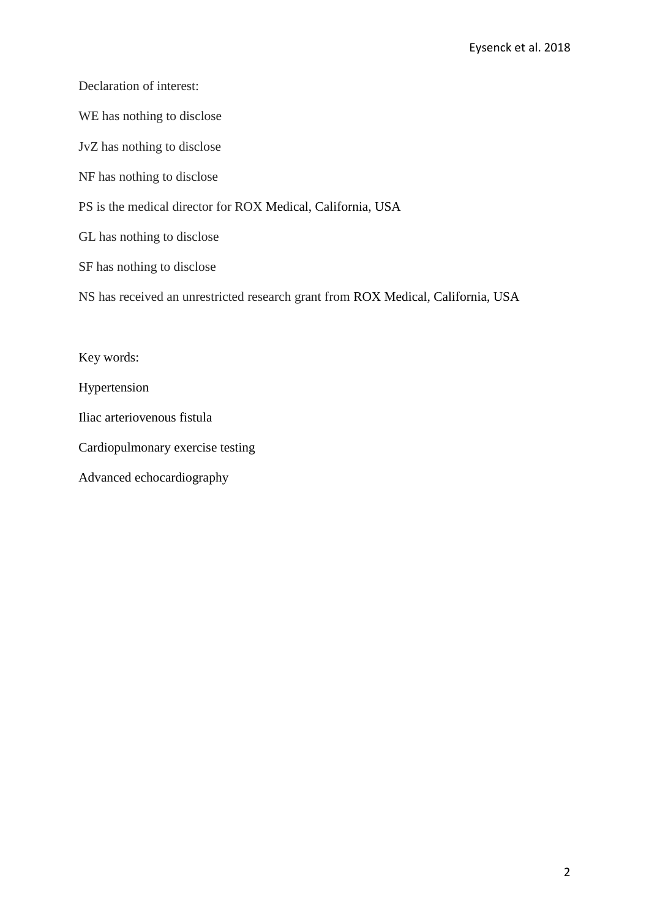Declaration of interest:

WE has nothing to disclose

JvZ has nothing to disclose

NF has nothing to disclose

PS is the medical director for ROX Medical, California, USA

GL has nothing to disclose

SF has nothing to disclose

NS has received an unrestricted research grant from ROX Medical, California, USA

Key words:

Hypertension

Iliac arteriovenous fistula

Cardiopulmonary exercise testing

Advanced echocardiography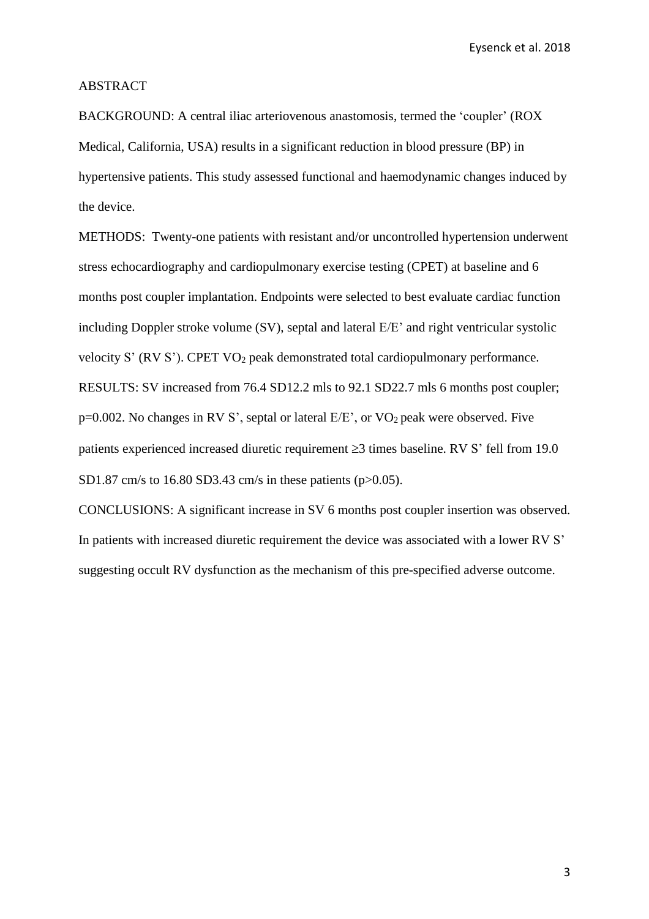#### ABSTRACT

BACKGROUND: A central iliac arteriovenous anastomosis, termed the 'coupler' (ROX Medical, California, USA) results in a significant reduction in blood pressure (BP) in hypertensive patients. This study assessed functional and haemodynamic changes induced by the device.

METHODS: Twenty-one patients with resistant and/or uncontrolled hypertension underwent stress echocardiography and cardiopulmonary exercise testing (CPET) at baseline and 6 months post coupler implantation. Endpoints were selected to best evaluate cardiac function including Doppler stroke volume (SV), septal and lateral E/E' and right ventricular systolic velocity S' (RV S'). CPET VO<sup>2</sup> peak demonstrated total cardiopulmonary performance. RESULTS: SV increased from 76.4 SD12.2 mls to 92.1 SD22.7 mls 6 months post coupler; p=0.002. No changes in RV S', septal or lateral E/E', or VO<sup>2</sup> peak were observed. Five patients experienced increased diuretic requirement  $\geq$ 3 times baseline. RV S' fell from 19.0 SD1.87 cm/s to 16.80 SD3.43 cm/s in these patients (p>0.05).

CONCLUSIONS: A significant increase in SV 6 months post coupler insertion was observed. In patients with increased diuretic requirement the device was associated with a lower RV S' suggesting occult RV dysfunction as the mechanism of this pre-specified adverse outcome.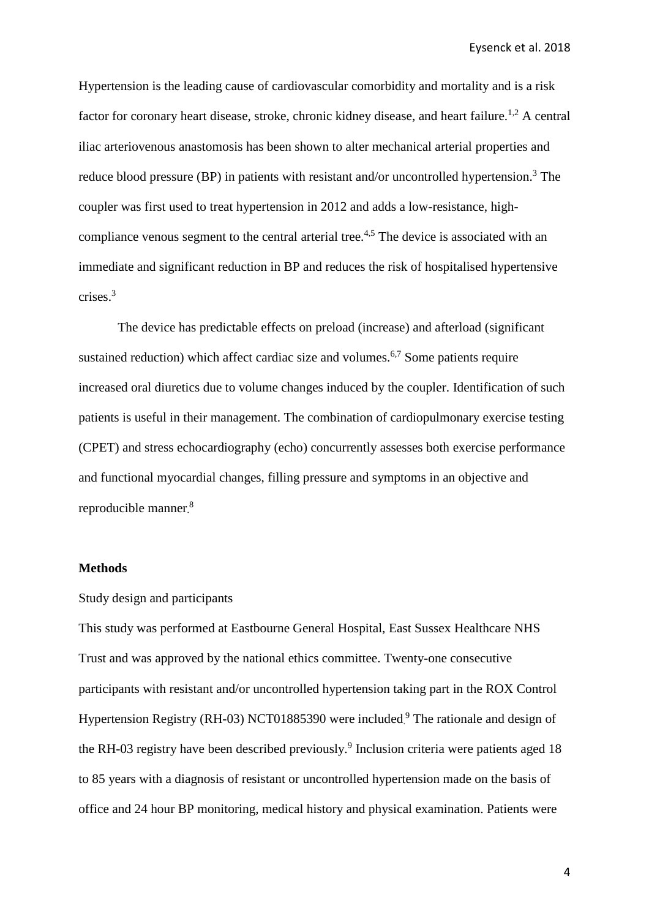Hypertension is the leading cause of cardiovascular comorbidity and mortality and is a risk factor for coronary heart disease, stroke, chronic kidney disease, and heart failure.<sup>1,2</sup> A central iliac arteriovenous anastomosis has been shown to alter mechanical arterial properties and reduce blood pressure (BP) in patients with resistant and/or uncontrolled hypertension.<sup>3</sup> The coupler was first used to treat hypertension in 2012 and adds a low-resistance, highcompliance venous segment to the central arterial tree.<sup>4,5</sup> The device is associated with an immediate and significant reduction in BP and reduces the risk of hospitalised hypertensive crises.<sup>3</sup>

The device has predictable effects on preload (increase) and afterload (significant sustained reduction) which affect cardiac size and volumes.<sup>6,7</sup> Some patients require increased oral diuretics due to volume changes induced by the coupler. Identification of such patients is useful in their management. The combination of cardiopulmonary exercise testing (CPET) and stress echocardiography (echo) concurrently assesses both exercise performance and functional myocardial changes, filling pressure and symptoms in an objective and reproducible manner.<sup>8</sup>

# **Methods**

#### Study design and participants

This study was performed at Eastbourne General Hospital, East Sussex Healthcare NHS Trust and was approved by the national ethics committee. Twenty-one consecutive participants with resistant and/or uncontrolled hypertension taking part in the ROX Control Hypertension Registry (RH-03) NCT01885390 were included.<sup>9</sup> The rationale and design of the RH-03 registry have been described previously.<sup>9</sup> Inclusion criteria were patients aged 18 to 85 years with a diagnosis of resistant or uncontrolled hypertension made on the basis of office and 24 hour BP monitoring, medical history and physical examination. Patients were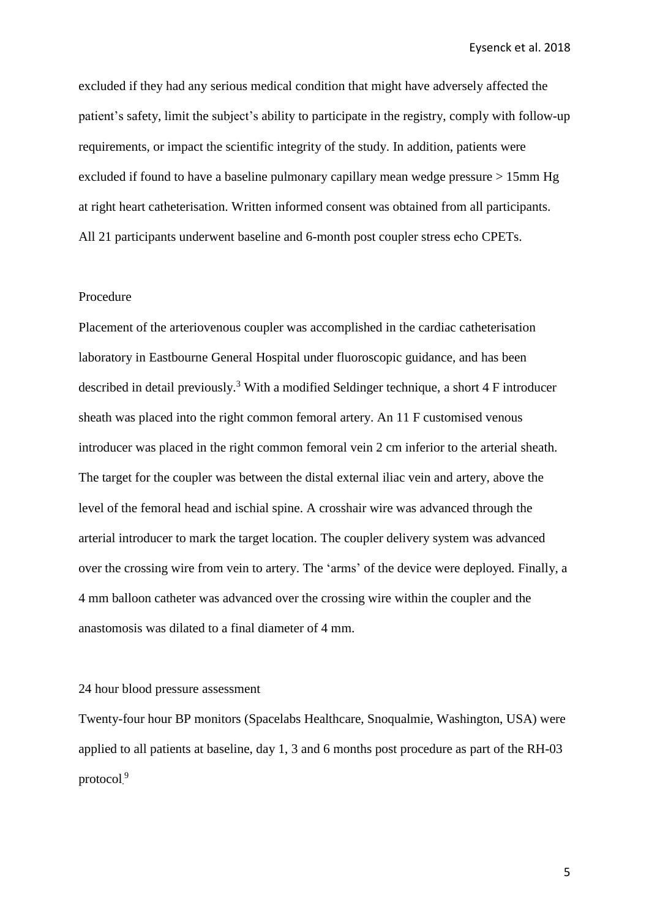excluded if they had any serious medical condition that might have adversely affected the patient's safety, limit the subject's ability to participate in the registry, comply with follow-up requirements, or impact the scientific integrity of the study. In addition, patients were excluded if found to have a baseline pulmonary capillary mean wedge pressure > 15mm Hg at right heart catheterisation. Written informed consent was obtained from all participants. All 21 participants underwent baseline and 6-month post coupler stress echo CPETs.

#### Procedure

Placement of the arteriovenous coupler was accomplished in the cardiac catheterisation laboratory in Eastbourne General Hospital under fluoroscopic guidance, and has been described in detail previously.<sup>3</sup> With a modified Seldinger technique, a short  $4 \text{ F}$  introducer sheath was placed into the right common femoral artery. An 11 F customised venous introducer was placed in the right common femoral vein 2 cm inferior to the arterial sheath. The target for the coupler was between the distal external iliac vein and artery, above the level of the femoral head and ischial spine. A crosshair wire was advanced through the arterial introducer to mark the target location. The coupler delivery system was advanced over the crossing wire from vein to artery. The 'arms' of the device were deployed. Finally, a 4 mm balloon catheter was advanced over the crossing wire within the coupler and the anastomosis was dilated to a final diameter of 4 mm.

#### 24 hour blood pressure assessment

Twenty-four hour BP monitors (Spacelabs Healthcare, Snoqualmie, Washington, USA) were applied to all patients at baseline, day 1, 3 and 6 months post procedure as part of the RH-03 protocol. 9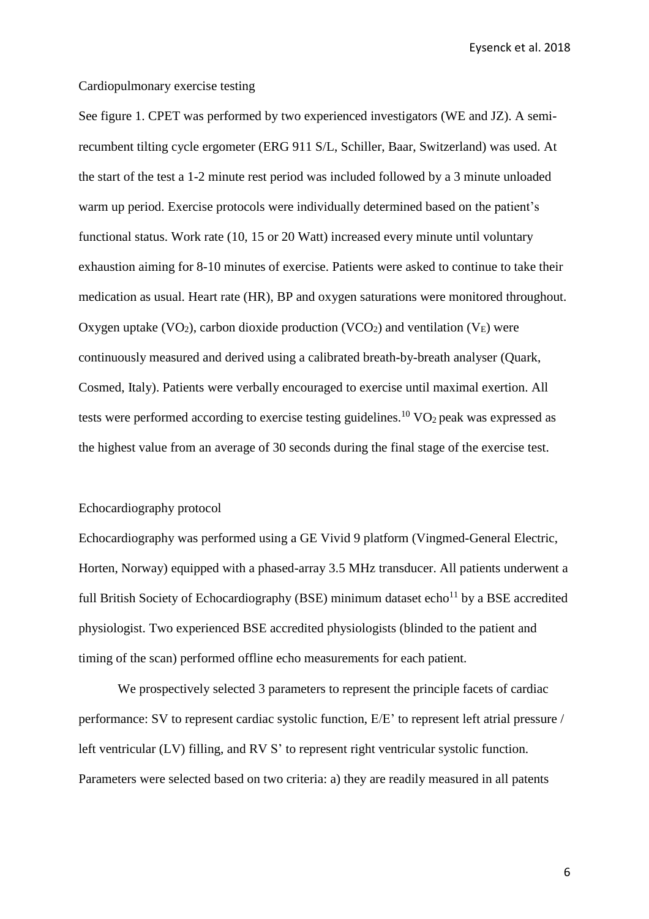# Cardiopulmonary exercise testing

See figure 1. CPET was performed by two experienced investigators (WE and JZ). A semirecumbent tilting cycle ergometer (ERG 911 S/L, Schiller, Baar, Switzerland) was used. At the start of the test a 1-2 minute rest period was included followed by a 3 minute unloaded warm up period. Exercise protocols were individually determined based on the patient's functional status. Work rate (10, 15 or 20 Watt) increased every minute until voluntary exhaustion aiming for 8-10 minutes of exercise. Patients were asked to continue to take their medication as usual. Heart rate (HR), BP and oxygen saturations were monitored throughout. Oxygen uptake (VO<sub>2</sub>), carbon dioxide production (VCO<sub>2</sub>) and ventilation (V<sub>E</sub>) were continuously measured and derived using a calibrated breath-by-breath analyser (Quark, Cosmed, Italy). Patients were verbally encouraged to exercise until maximal exertion. All tests were performed according to exercise testing guidelines. $^{10}$  VO<sub>2</sub> peak was expressed as the highest value from an average of 30 seconds during the final stage of the exercise test.

#### Echocardiography protocol

Echocardiography was performed using a GE Vivid 9 platform (Vingmed-General Electric, Horten, Norway) equipped with a phased-array 3.5 MHz transducer. All patients underwent a full British Society of Echocardiography (BSE) minimum dataset  $echo<sup>11</sup>$  by a BSE accredited physiologist. Two experienced BSE accredited physiologists (blinded to the patient and timing of the scan) performed offline echo measurements for each patient.

We prospectively selected 3 parameters to represent the principle facets of cardiac performance: SV to represent cardiac systolic function, E/E' to represent left atrial pressure / left ventricular (LV) filling, and RV S' to represent right ventricular systolic function. Parameters were selected based on two criteria: a) they are readily measured in all patents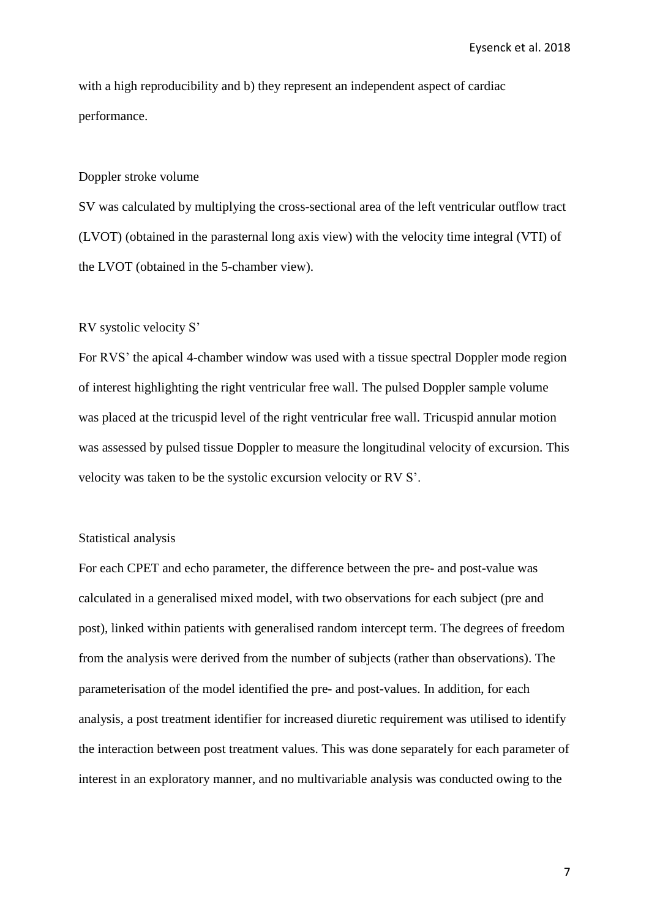with a high reproducibility and b) they represent an independent aspect of cardiac performance.

#### Doppler stroke volume

SV was calculated by multiplying the cross-sectional area of the left ventricular outflow tract (LVOT) (obtained in the parasternal long axis view) with the velocity time integral (VTI) of the LVOT (obtained in the 5-chamber view).

#### RV systolic velocity S'

For RVS' the apical 4-chamber window was used with a tissue spectral Doppler mode region of interest highlighting the right ventricular free wall. The pulsed Doppler sample volume was placed at the tricuspid level of the right ventricular free wall. Tricuspid annular motion was assessed by pulsed tissue Doppler to measure the longitudinal velocity of excursion. This velocity was taken to be the systolic excursion velocity or RV S'.

#### Statistical analysis

For each CPET and echo parameter, the difference between the pre- and post-value was calculated in a generalised mixed model, with two observations for each subject (pre and post), linked within patients with generalised random intercept term. The degrees of freedom from the analysis were derived from the number of subjects (rather than observations). The parameterisation of the model identified the pre- and post-values. In addition, for each analysis, a post treatment identifier for increased diuretic requirement was utilised to identify the interaction between post treatment values. This was done separately for each parameter of interest in an exploratory manner, and no multivariable analysis was conducted owing to the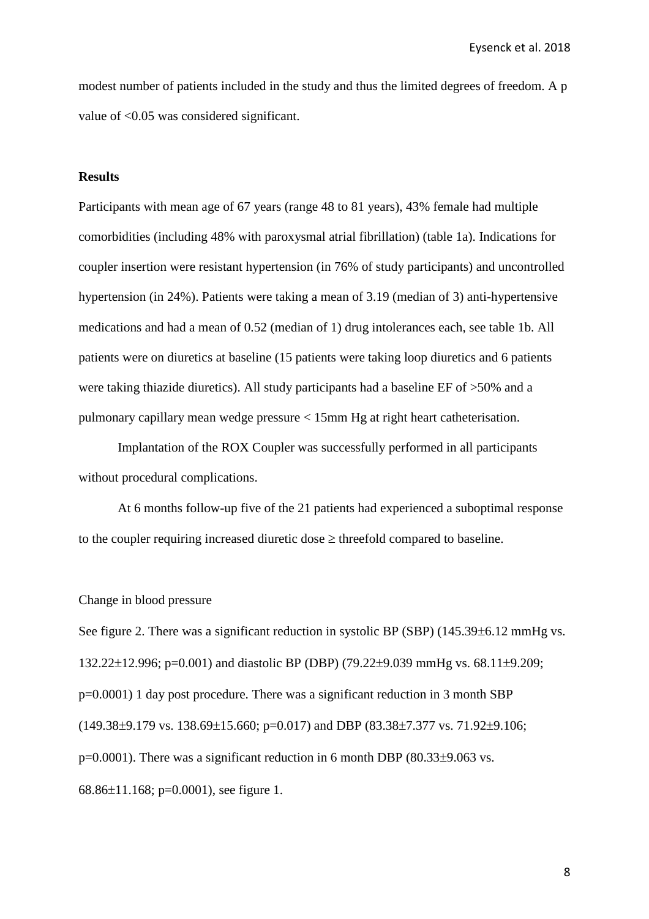modest number of patients included in the study and thus the limited degrees of freedom. A p value of <0.05 was considered significant.

#### **Results**

Participants with mean age of 67 years (range 48 to 81 years), 43% female had multiple comorbidities (including 48% with paroxysmal atrial fibrillation) (table 1a). Indications for coupler insertion were resistant hypertension (in 76% of study participants) and uncontrolled hypertension (in 24%). Patients were taking a mean of 3.19 (median of 3) anti-hypertensive medications and had a mean of 0.52 (median of 1) drug intolerances each, see table 1b. All patients were on diuretics at baseline (15 patients were taking loop diuretics and 6 patients were taking thiazide diuretics). All study participants had a baseline EF of >50% and a pulmonary capillary mean wedge pressure < 15mm Hg at right heart catheterisation.

Implantation of the ROX Coupler was successfully performed in all participants without procedural complications.

At 6 months follow-up five of the 21 patients had experienced a suboptimal response to the coupler requiring increased diuretic dose  $\geq$  threefold compared to baseline.

Change in blood pressure

See figure 2. There was a significant reduction in systolic BP (SBP)  $(145.39\pm6.12 \text{ mmHg vs.})$ 132.22 $\pm$ 12.996; p=0.001) and diastolic BP (DBP) (79.22 $\pm$ 9.039 mmHg vs. 68.11 $\pm$ 9.209; p=0.0001) 1 day post procedure. There was a significant reduction in 3 month SBP  $(149.38\pm9.179 \text{ vs. } 138.69\pm15.660; \text{ p} = 0.017)$  and DBP  $(83.38\pm7.377 \text{ vs. } 71.92\pm9.106;$  $p=0.0001$ ). There was a significant reduction in 6 month DBP (80.33 $\pm$ 9.063 vs. 68.86 $\pm$ 11.168; p=0.0001), see figure 1.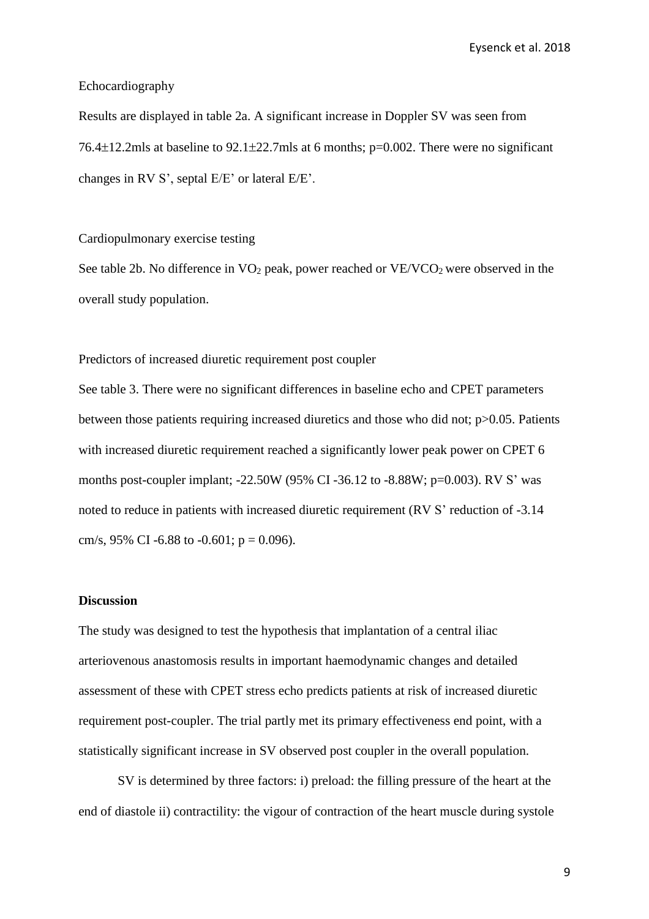#### Echocardiography

Results are displayed in table 2a. A significant increase in Doppler SV was seen from 76.4 $\pm$ 12.2mls at baseline to 92.1 $\pm$ 22.7mls at 6 months; p=0.002. There were no significant changes in RV S', septal E/E' or lateral E/E'.

#### Cardiopulmonary exercise testing

See table 2b. No difference in  $VO_2$  peak, power reached or  $VE/VCO_2$  were observed in the overall study population.

Predictors of increased diuretic requirement post coupler

See table 3. There were no significant differences in baseline echo and CPET parameters between those patients requiring increased diuretics and those who did not; p>0.05. Patients with increased diuretic requirement reached a significantly lower peak power on CPET 6 months post-coupler implant; -22.50W (95% CI -36.12 to -8.88W; p=0.003). RV S' was noted to reduce in patients with increased diuretic requirement (RV S' reduction of -3.14 cm/s, 95% CI -6.88 to -0.601;  $p = 0.096$ ).

#### **Discussion**

The study was designed to test the hypothesis that implantation of a central iliac arteriovenous anastomosis results in important haemodynamic changes and detailed assessment of these with CPET stress echo predicts patients at risk of increased diuretic requirement post-coupler. The trial partly met its primary effectiveness end point, with a statistically significant increase in SV observed post coupler in the overall population.

SV is determined by three factors: i) preload: the filling pressure of the heart at the end of diastole ii) contractility: the vigour of contraction of the heart muscle during systole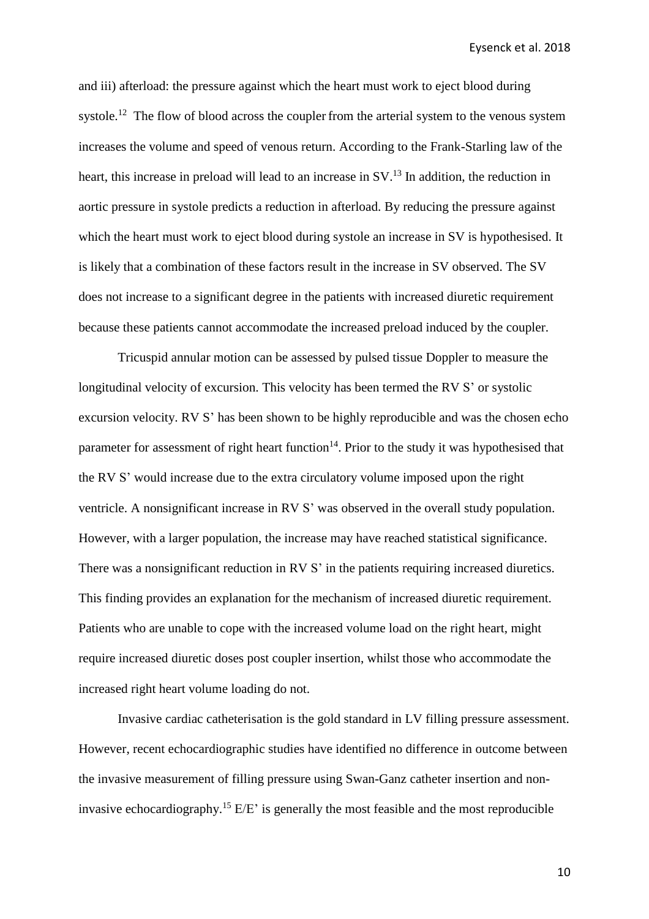and iii) afterload: the pressure against which the heart must work to eject blood during systole.<sup>12</sup> The flow of blood across the coupler from the arterial system to the venous system increases the volume and speed of venous return. According to the Frank-Starling law of the heart, this increase in preload will lead to an increase in SV.<sup>13</sup> In addition, the reduction in aortic pressure in systole predicts a reduction in afterload. By reducing the pressure against which the heart must work to eject blood during systole an increase in SV is hypothesised. It is likely that a combination of these factors result in the increase in SV observed. The SV does not increase to a significant degree in the patients with increased diuretic requirement because these patients cannot accommodate the increased preload induced by the coupler.

Tricuspid annular motion can be assessed by pulsed tissue Doppler to measure the longitudinal velocity of excursion. This velocity has been termed the RV S' or systolic excursion velocity. RV S' has been shown to be highly reproducible and was the chosen echo parameter for assessment of right heart function<sup>14</sup>. Prior to the study it was hypothesised that the RV S' would increase due to the extra circulatory volume imposed upon the right ventricle. A nonsignificant increase in RV S' was observed in the overall study population. However, with a larger population, the increase may have reached statistical significance. There was a nonsignificant reduction in RV S' in the patients requiring increased diuretics. This finding provides an explanation for the mechanism of increased diuretic requirement. Patients who are unable to cope with the increased volume load on the right heart, might require increased diuretic doses post coupler insertion, whilst those who accommodate the increased right heart volume loading do not.

Invasive cardiac catheterisation is the gold standard in LV filling pressure assessment. However, recent echocardiographic studies have identified no difference in outcome between the invasive measurement of filling pressure using Swan-Ganz catheter insertion and noninvasive echocardiography.<sup>15</sup> E/E' is generally the most feasible and the most reproducible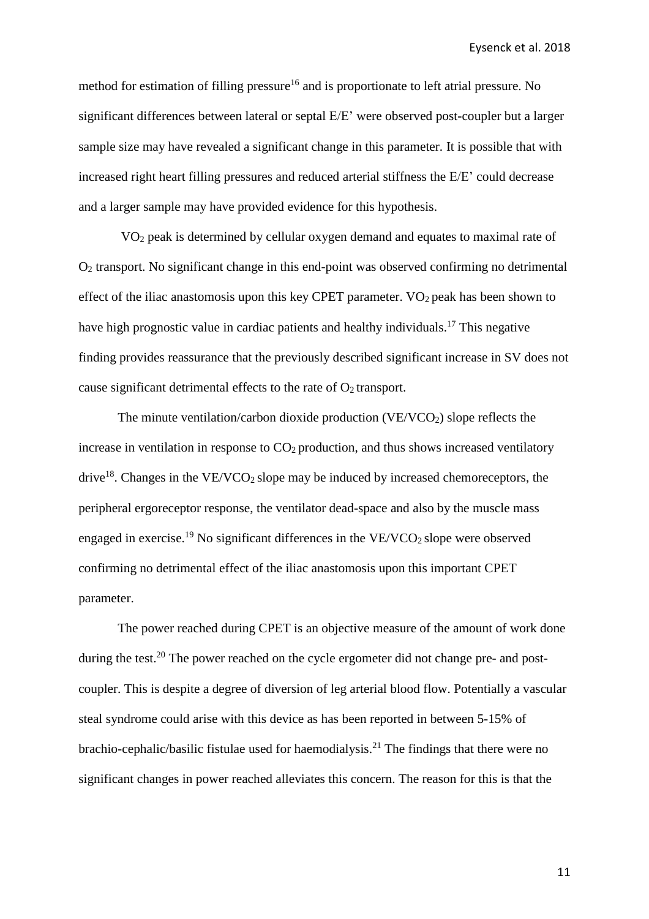method for estimation of filling pressure<sup>16</sup> and is proportionate to left atrial pressure. No significant differences between lateral or septal E/E' were observed post-coupler but a larger sample size may have revealed a significant change in this parameter. It is possible that with increased right heart filling pressures and reduced arterial stiffness the E/E' could decrease and a larger sample may have provided evidence for this hypothesis.

VO<sup>2</sup> peak is determined by cellular oxygen demand and equates to maximal rate of O<sup>2</sup> transport. No significant change in this end-point was observed confirming no detrimental effect of the iliac anastomosis upon this key CPET parameter.  $VO<sub>2</sub>$  peak has been shown to have high prognostic value in cardiac patients and healthy individuals.<sup>17</sup> This negative finding provides reassurance that the previously described significant increase in SV does not cause significant detrimental effects to the rate of  $O_2$  transport.

The minute ventilation/carbon dioxide production  $(VE/VCO<sub>2</sub>)$  slope reflects the increase in ventilation in response to  $CO<sub>2</sub>$  production, and thus shows increased ventilatory drive<sup>18</sup>. Changes in the VE/VCO<sub>2</sub> slope may be induced by increased chemoreceptors, the peripheral ergoreceptor response, the ventilator dead-space and also by the muscle mass engaged in exercise.<sup>19</sup> No significant differences in the VE/VCO<sub>2</sub> slope were observed confirming no detrimental effect of the iliac anastomosis upon this important CPET parameter.

The power reached during CPET is an objective measure of the amount of work done during the test.<sup>20</sup> The power reached on the cycle ergometer did not change pre- and postcoupler. This is despite a degree of diversion of leg arterial blood flow. Potentially a vascular steal syndrome could arise with this device as has been reported in between 5-15% of brachio-cephalic/basilic fistulae used for haemodialysis.<sup>21</sup> The findings that there were no significant changes in power reached alleviates this concern. The reason for this is that the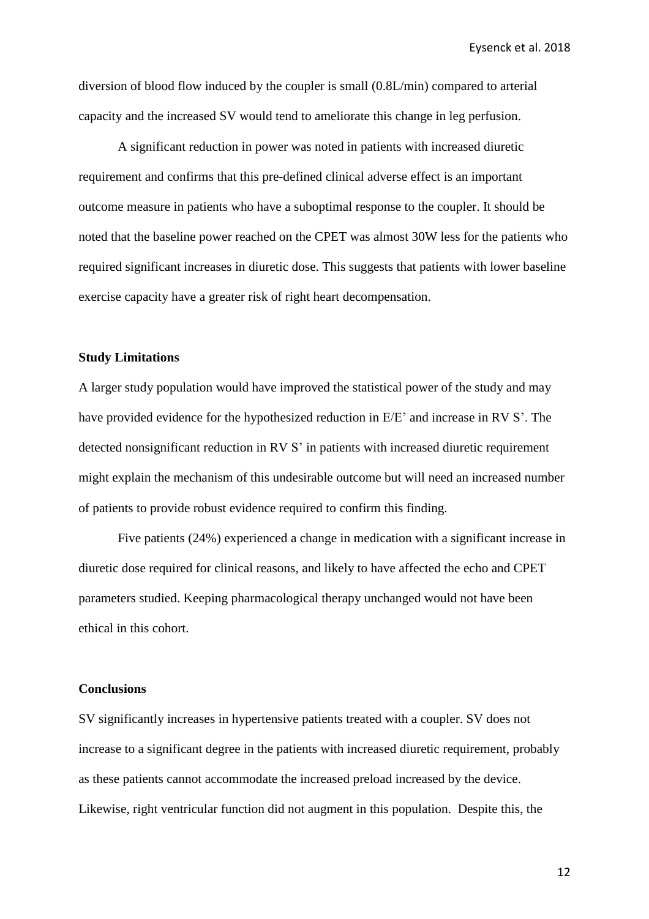diversion of blood flow induced by the coupler is small (0.8L/min) compared to arterial capacity and the increased SV would tend to ameliorate this change in leg perfusion.

A significant reduction in power was noted in patients with increased diuretic requirement and confirms that this pre-defined clinical adverse effect is an important outcome measure in patients who have a suboptimal response to the coupler. It should be noted that the baseline power reached on the CPET was almost 30W less for the patients who required significant increases in diuretic dose. This suggests that patients with lower baseline exercise capacity have a greater risk of right heart decompensation.

#### **Study Limitations**

A larger study population would have improved the statistical power of the study and may have provided evidence for the hypothesized reduction in E/E' and increase in RV S'. The detected nonsignificant reduction in RV S' in patients with increased diuretic requirement might explain the mechanism of this undesirable outcome but will need an increased number of patients to provide robust evidence required to confirm this finding.

Five patients (24%) experienced a change in medication with a significant increase in diuretic dose required for clinical reasons, and likely to have affected the echo and CPET parameters studied. Keeping pharmacological therapy unchanged would not have been ethical in this cohort.

#### **Conclusions**

SV significantly increases in hypertensive patients treated with a coupler. SV does not increase to a significant degree in the patients with increased diuretic requirement, probably as these patients cannot accommodate the increased preload increased by the device. Likewise, right ventricular function did not augment in this population. Despite this, the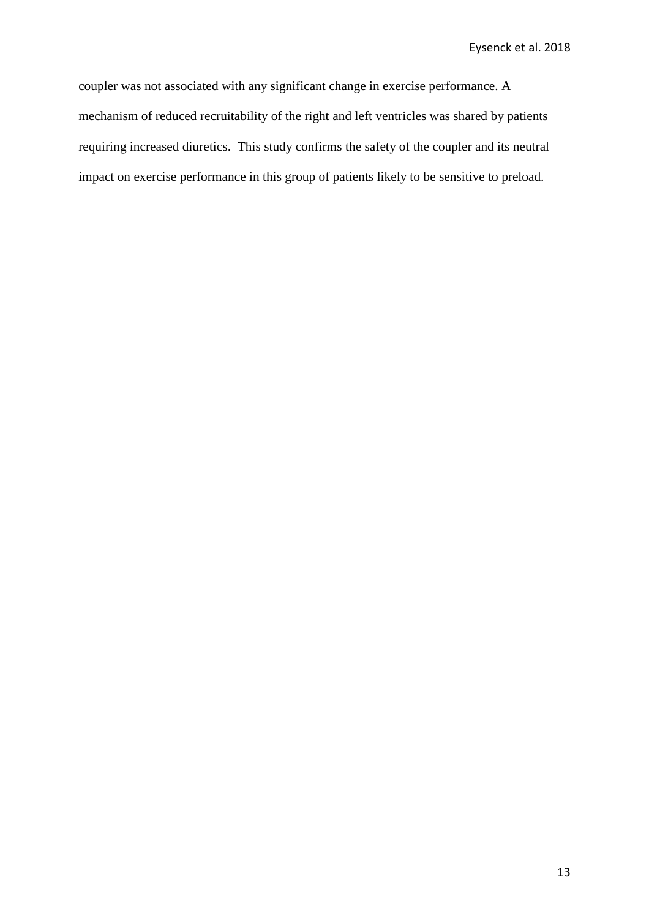coupler was not associated with any significant change in exercise performance. A mechanism of reduced recruitability of the right and left ventricles was shared by patients requiring increased diuretics. This study confirms the safety of the coupler and its neutral impact on exercise performance in this group of patients likely to be sensitive to preload.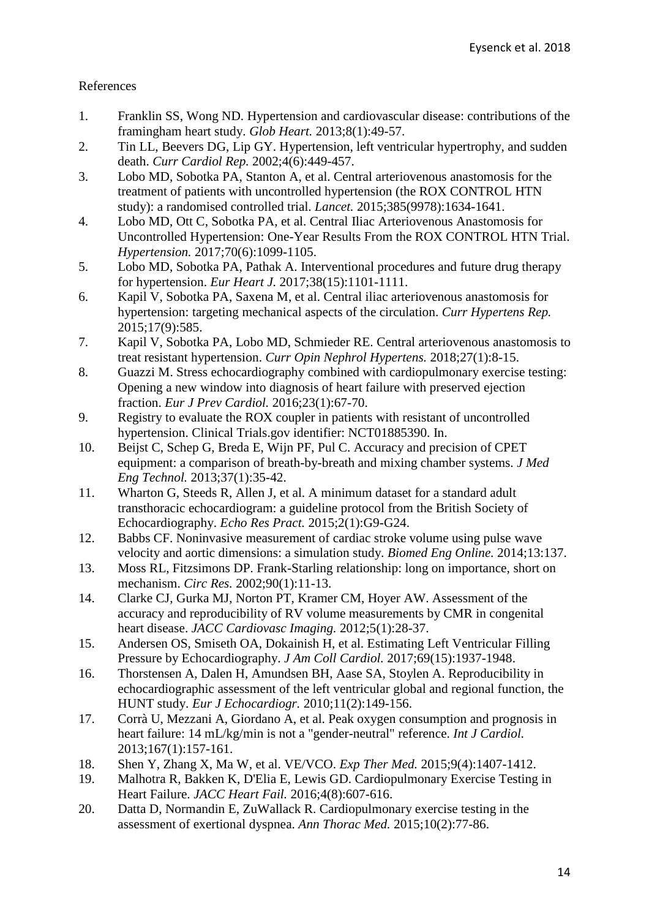# References

- 1. Franklin SS, Wong ND. Hypertension and cardiovascular disease: contributions of the framingham heart study. *Glob Heart.* 2013;8(1):49-57.
- 2. Tin LL, Beevers DG, Lip GY. Hypertension, left ventricular hypertrophy, and sudden death. *Curr Cardiol Rep.* 2002;4(6):449-457.
- 3. Lobo MD, Sobotka PA, Stanton A, et al. Central arteriovenous anastomosis for the treatment of patients with uncontrolled hypertension (the ROX CONTROL HTN study): a randomised controlled trial. *Lancet.* 2015;385(9978):1634-1641.
- 4. Lobo MD, Ott C, Sobotka PA, et al. Central Iliac Arteriovenous Anastomosis for Uncontrolled Hypertension: One-Year Results From the ROX CONTROL HTN Trial. *Hypertension.* 2017;70(6):1099-1105.
- 5. Lobo MD, Sobotka PA, Pathak A. Interventional procedures and future drug therapy for hypertension. *Eur Heart J.* 2017;38(15):1101-1111.
- 6. Kapil V, Sobotka PA, Saxena M, et al. Central iliac arteriovenous anastomosis for hypertension: targeting mechanical aspects of the circulation. *Curr Hypertens Rep.* 2015;17(9):585.
- 7. Kapil V, Sobotka PA, Lobo MD, Schmieder RE. Central arteriovenous anastomosis to treat resistant hypertension. *Curr Opin Nephrol Hypertens.* 2018;27(1):8-15.
- 8. Guazzi M. Stress echocardiography combined with cardiopulmonary exercise testing: Opening a new window into diagnosis of heart failure with preserved ejection fraction. *Eur J Prev Cardiol.* 2016;23(1):67-70.
- 9. Registry to evaluate the ROX coupler in patients with resistant of uncontrolled hypertension. Clinical Trials.gov identifier: NCT01885390. In.
- 10. Beijst C, Schep G, Breda E, Wijn PF, Pul C. Accuracy and precision of CPET equipment: a comparison of breath-by-breath and mixing chamber systems. *J Med Eng Technol.* 2013;37(1):35-42.
- 11. Wharton G, Steeds R, Allen J, et al. A minimum dataset for a standard adult transthoracic echocardiogram: a guideline protocol from the British Society of Echocardiography. *Echo Res Pract.* 2015;2(1):G9-G24.
- 12. Babbs CF. Noninvasive measurement of cardiac stroke volume using pulse wave velocity and aortic dimensions: a simulation study. *Biomed Eng Online.* 2014;13:137.
- 13. Moss RL, Fitzsimons DP. Frank-Starling relationship: long on importance, short on mechanism. *Circ Res.* 2002;90(1):11-13.
- 14. Clarke CJ, Gurka MJ, Norton PT, Kramer CM, Hoyer AW. Assessment of the accuracy and reproducibility of RV volume measurements by CMR in congenital heart disease. *JACC Cardiovasc Imaging.* 2012;5(1):28-37.
- 15. Andersen OS, Smiseth OA, Dokainish H, et al. Estimating Left Ventricular Filling Pressure by Echocardiography. *J Am Coll Cardiol.* 2017;69(15):1937-1948.
- 16. Thorstensen A, Dalen H, Amundsen BH, Aase SA, Stoylen A. Reproducibility in echocardiographic assessment of the left ventricular global and regional function, the HUNT study. *Eur J Echocardiogr.* 2010;11(2):149-156.
- 17. Corrà U, Mezzani A, Giordano A, et al. Peak oxygen consumption and prognosis in heart failure: 14 mL/kg/min is not a "gender-neutral" reference. *Int J Cardiol.* 2013;167(1):157-161.
- 18. Shen Y, Zhang X, Ma W, et al. VE/VCO. *Exp Ther Med.* 2015;9(4):1407-1412.
- 19. Malhotra R, Bakken K, D'Elia E, Lewis GD. Cardiopulmonary Exercise Testing in Heart Failure. *JACC Heart Fail.* 2016;4(8):607-616.
- 20. Datta D, Normandin E, ZuWallack R. Cardiopulmonary exercise testing in the assessment of exertional dyspnea. *Ann Thorac Med.* 2015;10(2):77-86.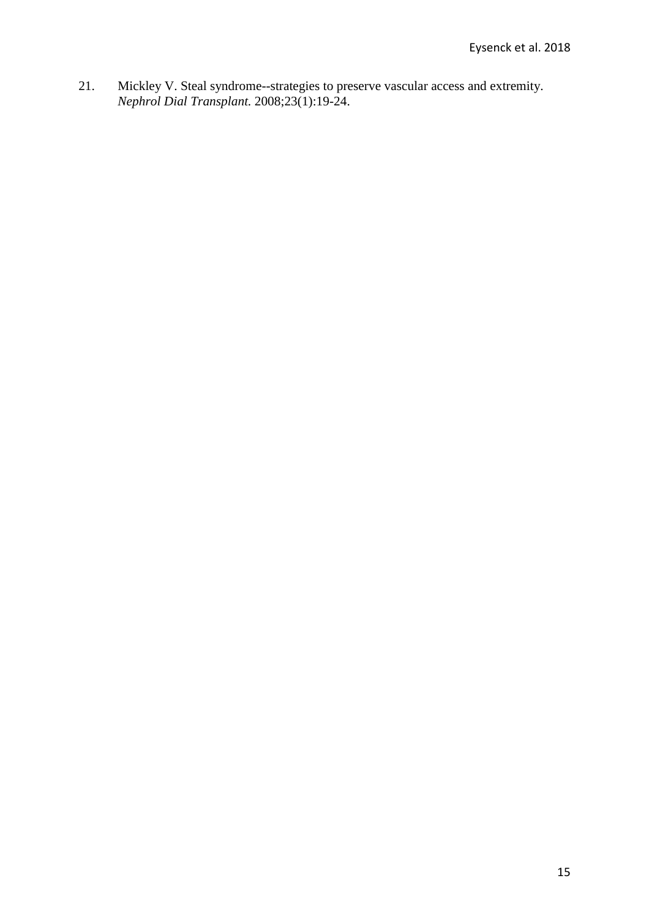21. Mickley V. Steal syndrome--strategies to preserve vascular access and extremity. *Nephrol Dial Transplant.* 2008;23(1):19-24.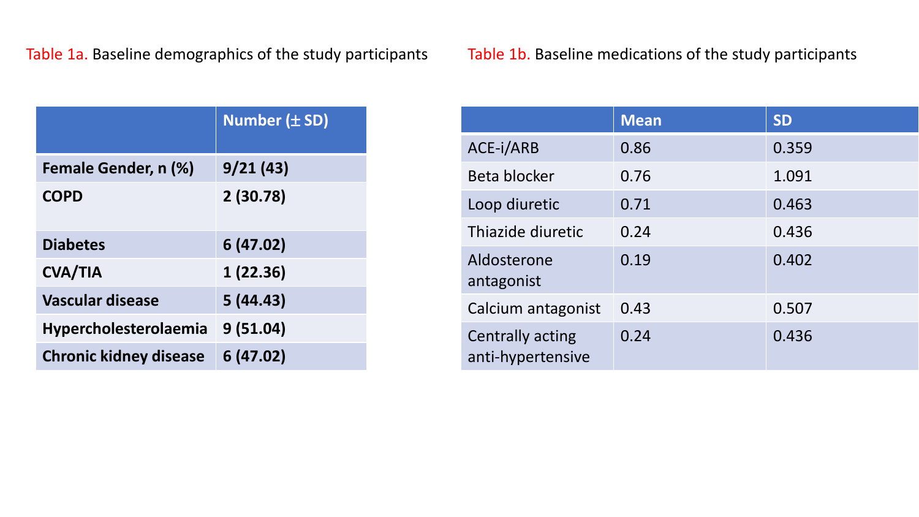| Table 1b. Baseline medications of the study participants |
|----------------------------------------------------------|
|                                                          |

|                               | <b>Number (± SD)</b> |
|-------------------------------|----------------------|
| Female Gender, n (%)          | 9/21(43)             |
| <b>COPD</b>                   | 2(30.78)             |
| <b>Diabetes</b>               | 6(47.02)             |
| <b>CVA/TIA</b>                | 1(22.36)             |
| <b>Vascular disease</b>       | 5(44.43)             |
| <b>Hypercholesterolaemia</b>  | 9(51.04)             |
| <b>Chronic kidney disease</b> | 6(47.02)             |

|                                       | <b>Mean</b> | <b>SD</b> |
|---------------------------------------|-------------|-----------|
| ACE-i/ARB                             | 0.86        | 0.359     |
| Beta blocker                          | 0.76        | 1.091     |
| Loop diuretic                         | 0.71        | 0.463     |
| Thiazide diuretic                     | 0.24        | 0.436     |
| Aldosterone<br>antagonist             | 0.19        | 0.402     |
| Calcium antagonist                    | 0.43        | 0.507     |
| Centrally acting<br>anti-hypertensive | 0.24        | 0.436     |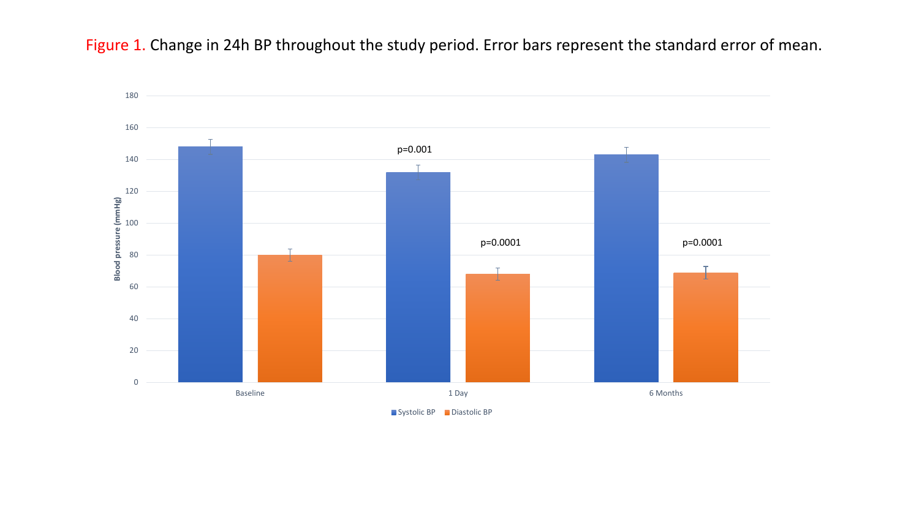Figure 1. Change in 24h BP throughout the study period. Error bars represent the standard error of mean.



Systolic BP Diastolic BP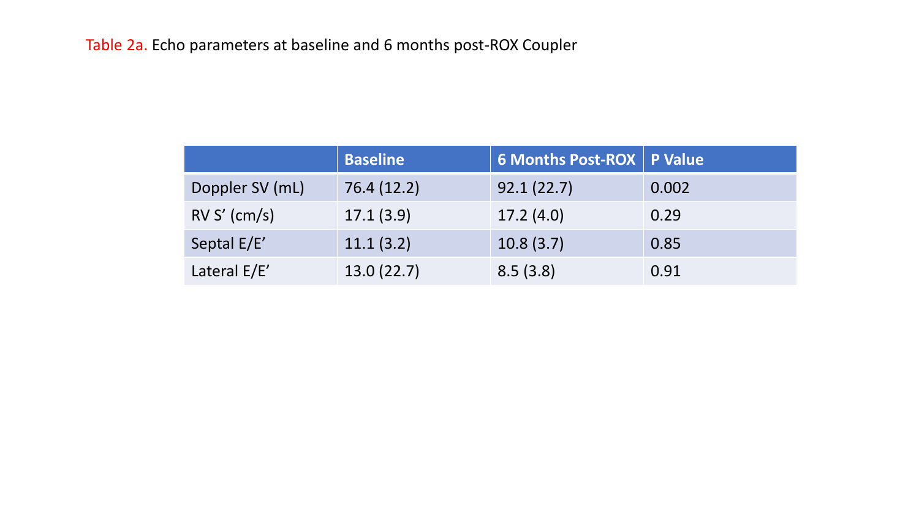|                 | <b>Baseline</b> | <b>6 Months Post-ROX P Value</b> |       |
|-----------------|-----------------|----------------------------------|-------|
| Doppler SV (mL) | 76.4 (12.2)     | 92.1(22.7)                       | 0.002 |
| $RV S'$ (cm/s)  | 17.1(3.9)       | 17.2(4.0)                        | 0.29  |
| Septal E/E'     | 11.1(3.2)       | 10.8(3.7)                        | 0.85  |
| Lateral E/E'    | 13.0(22.7)      | 8.5(3.8)                         | 0.91  |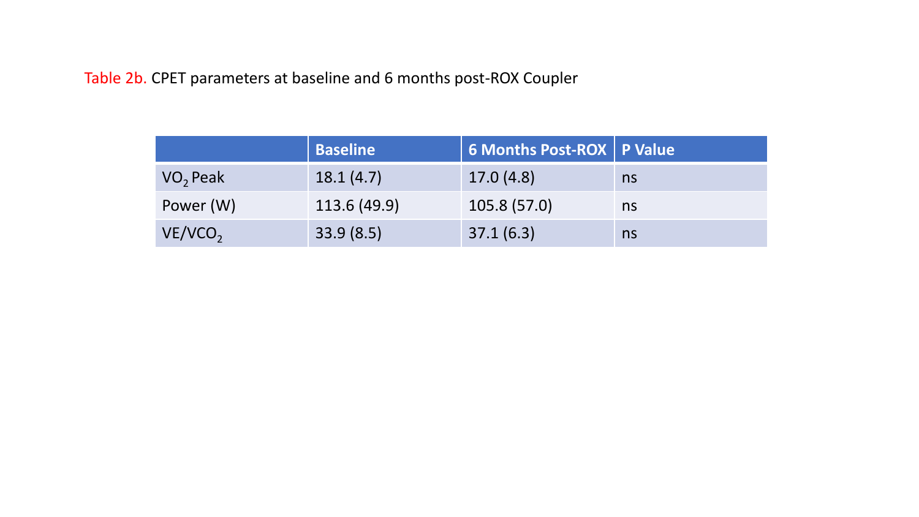Table 2b. CPET parameters at baseline and 6 months post-ROX Coupler

|                      | <b>Baseline</b> | 6 Months Post-ROX   P Value |    |
|----------------------|-----------------|-----------------------------|----|
| VO <sub>2</sub> Peak | 18.1(4.7)       | 17.0(4.8)                   | ns |
| Power (W)            | 113.6 (49.9)    | 105.8 (57.0)                | ns |
| VE/VCO <sub>2</sub>  | 33.9(8.5)       | 37.1(6.3)                   | ns |